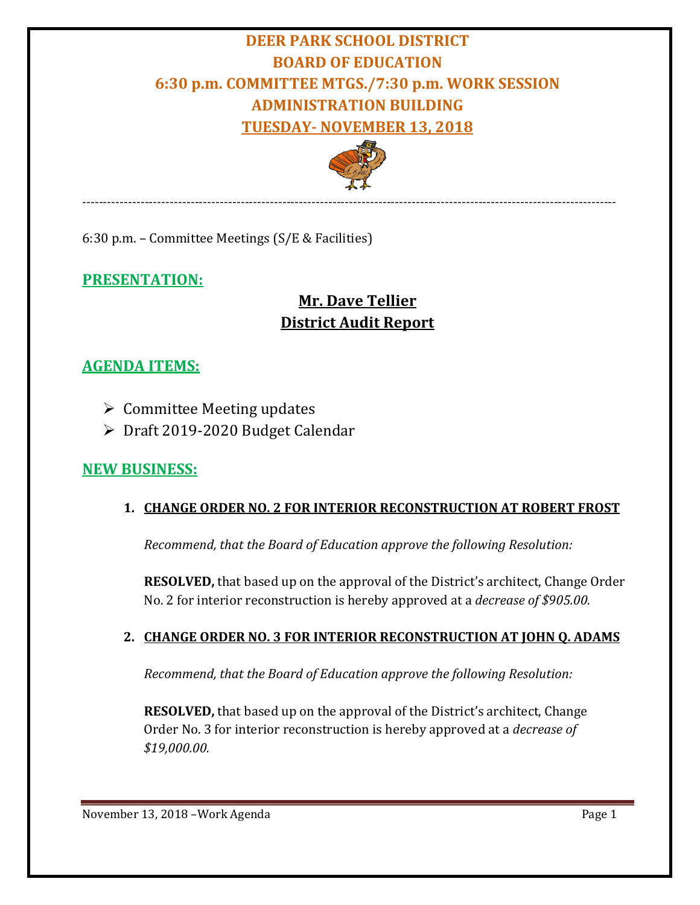# **DEER PARK SCHOOL DISTRICT BOARD OF EDUCATION 6:30 p.m. COMMITTEE MTGS./7:30 p.m. WORK SESSION ADMINISTRATION BUILDING TUESDAY- NOVEMBER 13, 2018**



--------------------------------------------------------------------------------------------------------------------------------

6:30 p.m. – Committee Meetings (S/E & Facilities)

## **PRESENTATION:**

## **Mr. Dave Tellier District Audit Report**

## **AGENDA ITEMS:**

- $\triangleright$  Committee Meeting updates
- Draft 2019-2020 Budget Calendar

## **NEW BUSINESS:**

#### **1. CHANGE ORDER NO. 2 FOR INTERIOR RECONSTRUCTION AT ROBERT FROST**

*Recommend, that the Board of Education approve the following Resolution:*

**RESOLVED,** that based up on the approval of the District's architect, Change Order No. 2 for interior reconstruction is hereby approved at a *decrease of \$905.00.*

## **2. CHANGE ORDER NO. 3 FOR INTERIOR RECONSTRUCTION AT JOHN Q. ADAMS**

*Recommend, that the Board of Education approve the following Resolution:*

**RESOLVED,** that based up on the approval of the District's architect, Change Order No. 3 for interior reconstruction is hereby approved at a *decrease of \$19,000.00.*

November 13, 2018 – Work Agenda Page 1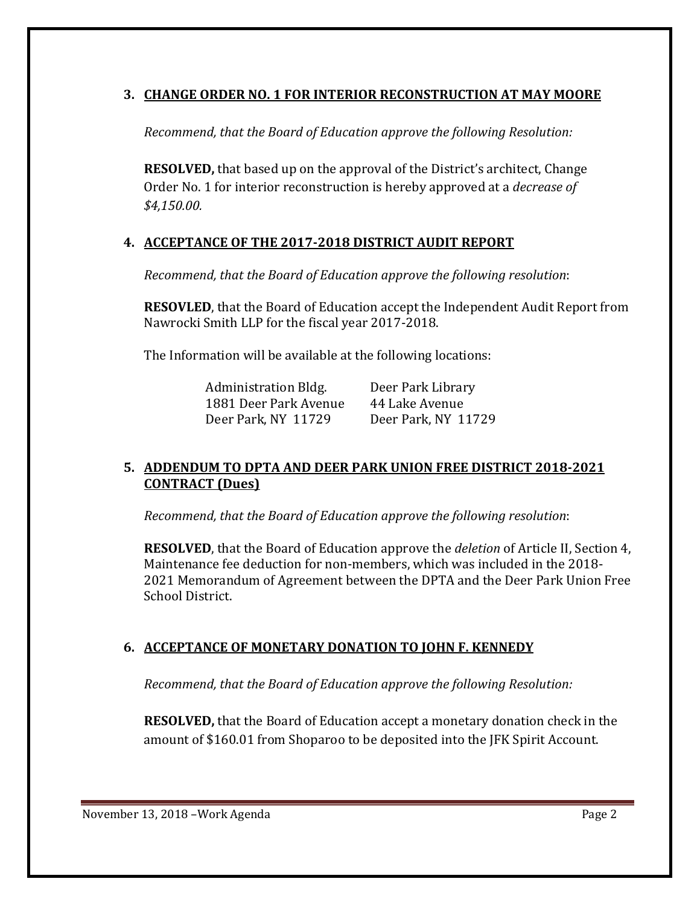#### **3. CHANGE ORDER NO. 1 FOR INTERIOR RECONSTRUCTION AT MAY MOORE**

*Recommend, that the Board of Education approve the following Resolution:*

**RESOLVED,** that based up on the approval of the District's architect, Change Order No. 1 for interior reconstruction is hereby approved at a *decrease of \$4,150.00.*

#### **4. ACCEPTANCE OF THE 2017-2018 DISTRICT AUDIT REPORT**

*Recommend, that the Board of Education approve the following resolution*:

**RESOVLED**, that the Board of Education accept the Independent Audit Report from Nawrocki Smith LLP for the fiscal year 2017-2018.

The Information will be available at the following locations:

Administration Bldg. Deer Park Library<br>1881 Deer Park Avenue 44 Lake Avenue 1881 Deer Park Avenue 44 Lake Avenue<br>Deer Park. NY 11729 Deer Park. NY 11729 Deer Park, NY 11729

#### **5. ADDENDUM TO DPTA AND DEER PARK UNION FREE DISTRICT 2018-2021 CONTRACT (Dues)**

*Recommend, that the Board of Education approve the following resolution*:

**RESOLVED**, that the Board of Education approve the *deletion* of Article II, Section 4, Maintenance fee deduction for non-members, which was included in the 2018- 2021 Memorandum of Agreement between the DPTA and the Deer Park Union Free School District.

## **6. ACCEPTANCE OF MONETARY DONATION TO JOHN F. KENNEDY**

*Recommend, that the Board of Education approve the following Resolution:*

**RESOLVED,** that the Board of Education accept a monetary donation check in the amount of \$160.01 from Shoparoo to be deposited into the JFK Spirit Account.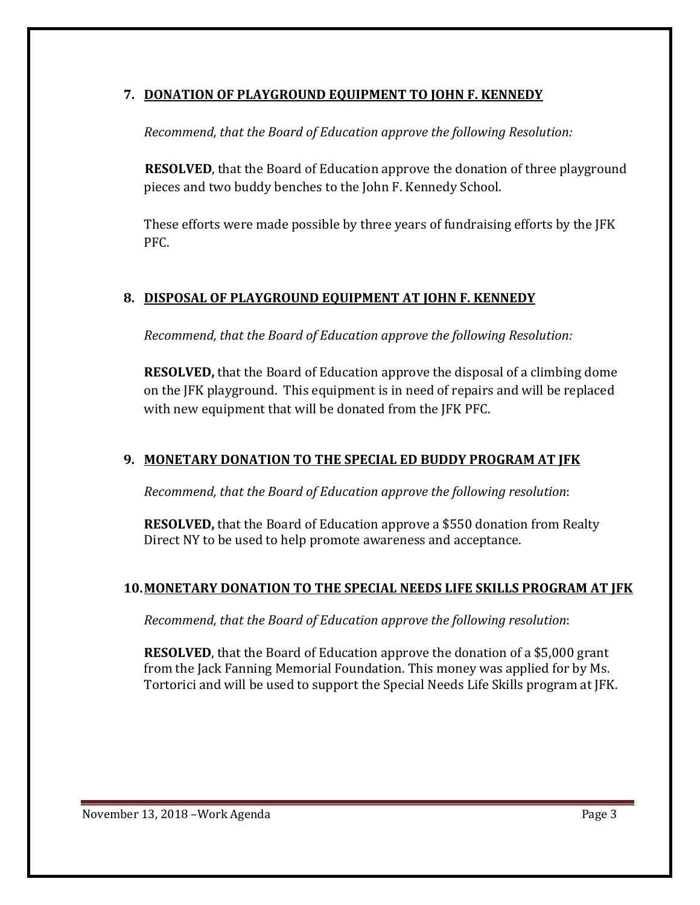#### **7. DONATION OF PLAYGROUND EQUIPMENT TO JOHN F. KENNEDY**

*Recommend, that the Board of Education approve the following Resolution:*

**RESOLVED**, that the Board of Education approve the donation of three playground pieces and two buddy benches to the John F. Kennedy School.

These efforts were made possible by three years of fundraising efforts by the JFK PFC.

## **8. DISPOSAL OF PLAYGROUND EQUIPMENT AT JOHN F. KENNEDY**

*Recommend, that the Board of Education approve the following Resolution:*

**RESOLVED,** that the Board of Education approve the disposal of a climbing dome on the JFK playground. This equipment is in need of repairs and will be replaced with new equipment that will be donated from the JFK PFC.

#### **9. MONETARY DONATION TO THE SPECIAL ED BUDDY PROGRAM AT JFK**

*Recommend, that the Board of Education approve the following resolution*:

**RESOLVED,** that the Board of Education approve a \$550 donation from Realty Direct NY to be used to help promote awareness and acceptance.

## **10.MONETARY DONATION TO THE SPECIAL NEEDS LIFE SKILLS PROGRAM AT JFK**

*Recommend, that the Board of Education approve the following resolution*:

**RESOLVED**, that the Board of Education approve the donation of a \$5,000 grant from the Jack Fanning Memorial Foundation. This money was applied for by Ms. Tortorici and will be used to support the Special Needs Life Skills program at JFK.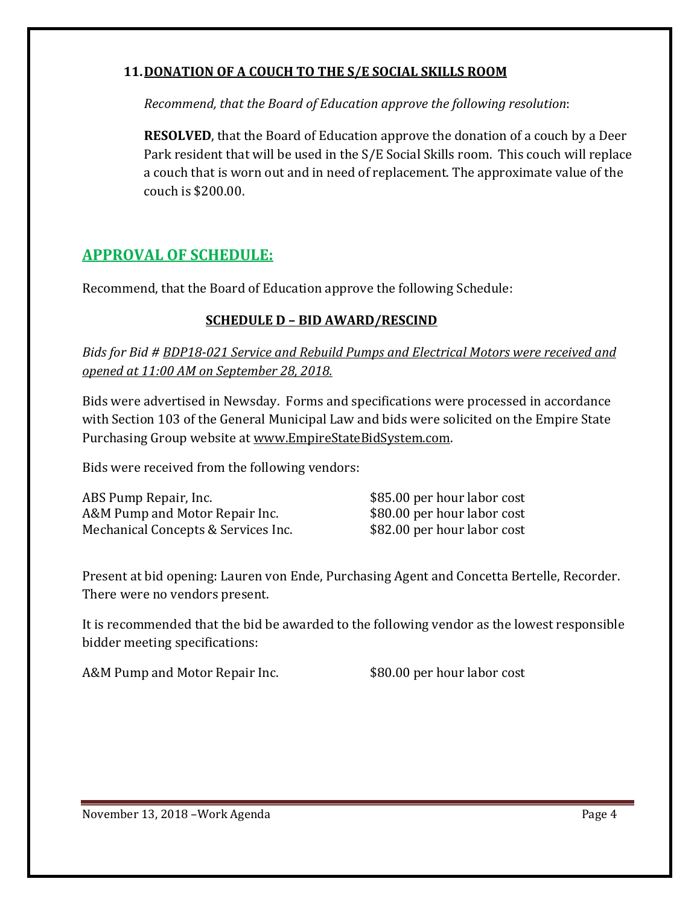#### **11.DONATION OF A COUCH TO THE S/E SOCIAL SKILLS ROOM**

*Recommend, that the Board of Education approve the following resolution*:

**RESOLVED**, that the Board of Education approve the donation of a couch by a Deer Park resident that will be used in the S/E Social Skills room. This couch will replace a couch that is worn out and in need of replacement. The approximate value of the couch is \$200.00.

## **APPROVAL OF SCHEDULE:**

Recommend, that the Board of Education approve the following Schedule:

#### **SCHEDULE D – BID AWARD/RESCIND**

*Bids for Bid # BDP18-021 Service and Rebuild Pumps and Electrical Motors were received and opened at 11:00 AM on September 28, 2018.*

Bids were advertised in Newsday. Forms and specifications were processed in accordance with Section 103 of the General Municipal Law and bids were solicited on the Empire State Purchasing Group website at [www.EmpireStateBidSystem.com.](http://www.empirestatebidsystem.com/)

Bids were received from the following vendors:

ABS Pump Repair, Inc.<br>A&M Pump and Motor Repair Inc. \$80.00 per hour labor cost A&M Pump and Motor Repair Inc. \$80.00 per hour labor cost<br>Mechanical Concepts & Services Inc. \$82.00 per hour labor cost Mechanical Concepts & Services Inc.

Present at bid opening: Lauren von Ende, Purchasing Agent and Concetta Bertelle, Recorder. There were no vendors present.

It is recommended that the bid be awarded to the following vendor as the lowest responsible bidder meeting specifications:

A&M Pump and Motor Repair Inc. \$80.00 per hour labor cost